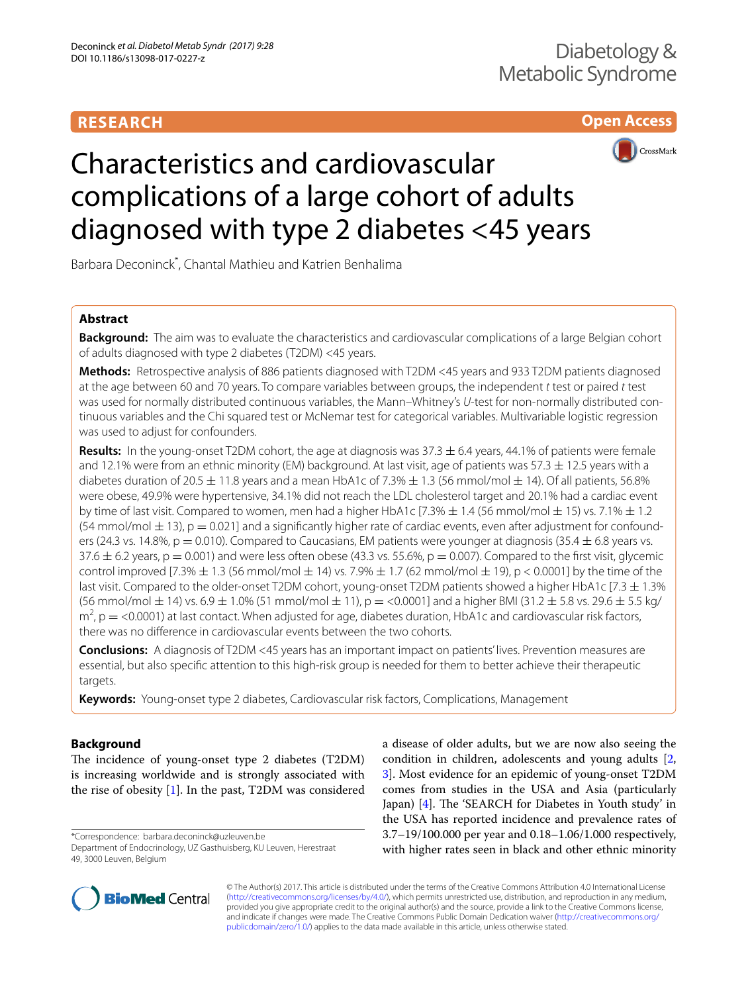# **RESEARCH**





# Characteristics and cardiovascular complications of a large cohort of adults diagnosed with type 2 diabetes <45 years

Barbara Deconinck\* , Chantal Mathieu and Katrien Benhalima

# **Abstract**

**Background:** The aim was to evaluate the characteristics and cardiovascular complications of a large Belgian cohort of adults diagnosed with type 2 diabetes (T2DM) <45 years.

**Methods:** Retrospective analysis of 886 patients diagnosed with T2DM <45 years and 933 T2DM patients diagnosed at the age between 60 and 70 years. To compare variables between groups, the independent *t* test or paired *t* test was used for normally distributed continuous variables, the Mann–Whitney's *U*-test for non-normally distributed continuous variables and the Chi squared test or McNemar test for categorical variables. Multivariable logistic regression was used to adjust for confounders.

**Results:** In the young-onset T2DM cohort, the age at diagnosis was 37.3 ± 6.4 years, 44.1% of patients were female and 12.1% were from an ethnic minority (EM) background. At last visit, age of patients was 57.3  $\pm$  12.5 years with a diabetes duration of 20.5  $\pm$  11.8 years and a mean HbA1c of 7.3%  $\pm$  1.3 (56 mmol/mol  $\pm$  14). Of all patients, 56.8% were obese, 49.9% were hypertensive, 34.1% did not reach the LDL cholesterol target and 20.1% had a cardiac event by time of last visit. Compared to women, men had a higher HbA1c [7.3%  $\pm$  1.4 (56 mmol/mol  $\pm$  15) vs. 7.1%  $\pm$  1.2  $(54$  mmol/mol  $\pm$  13), p = 0.021] and a significantly higher rate of cardiac events, even after adjustment for confounders (24.3 vs. 14.8%,  $p = 0.010$ ). Compared to Caucasians, EM patients were younger at diagnosis (35.4  $\pm$  6.8 years vs.  $37.6 \pm 6.2$  years, p = 0.001) and were less often obese (43.3 vs. 55.6%, p = 0.007). Compared to the first visit, glycemic control improved  $[7.3% \pm 1.3]$  (56 mmol/mol  $\pm$  14) vs. 7.9%  $\pm$  1.7 (62 mmol/mol  $\pm$  19), p < 0.0001] by the time of the last visit. Compared to the older-onset T2DM cohort, young-onset T2DM patients showed a higher HbA1c [7.3  $\pm$  1.3%  $(56 \text{ mmol/mol} \pm 14)$  vs.  $6.9 \pm 1.0\%$  (51 mmol/mol  $\pm 11$ ),  $p = 0.0001$  and a higher BMI (31.2  $\pm 5.8$  vs. 29.6  $\pm 5.5$  kg/  $m^2$ ,  $p =$  <0.0001) at last contact. When adjusted for age, diabetes duration, HbA1c and cardiovascular risk factors, there was no diference in cardiovascular events between the two cohorts.

**Conclusions:** A diagnosis of T2DM <45 years has an important impact on patients' lives. Prevention measures are essential, but also specifc attention to this high-risk group is needed for them to better achieve their therapeutic targets.

**Keywords:** Young-onset type 2 diabetes, Cardiovascular risk factors, Complications, Management

# **Background**

The incidence of young-onset type 2 diabetes (T2DM) is increasing worldwide and is strongly associated with the rise of obesity [\[1](#page-9-0)]. In the past, T2DM was considered

\*Correspondence: barbara.deconinck@uzleuven.be Department of Endocrinology, UZ Gasthuisberg, KU Leuven, Herestraat 49, 3000 Leuven, Belgium

a disease of older adults, but we are now also seeing the condition in children, adolescents and young adults [\[2](#page-9-1), [3\]](#page-9-2). Most evidence for an epidemic of young-onset T2DM comes from studies in the USA and Asia (particularly Japan) [[4](#page-9-3)]. The 'SEARCH for Diabetes in Youth study' in the USA has reported incidence and prevalence rates of 3.7–19/100.000 per year and 0.18–1.06/1.000 respectively, with higher rates seen in black and other ethnic minority



© The Author(s) 2017. This article is distributed under the terms of the Creative Commons Attribution 4.0 International License [\(http://creativecommons.org/licenses/by/4.0/\)](http://creativecommons.org/licenses/by/4.0/), which permits unrestricted use, distribution, and reproduction in any medium, provided you give appropriate credit to the original author(s) and the source, provide a link to the Creative Commons license, and indicate if changes were made. The Creative Commons Public Domain Dedication waiver ([http://creativecommons.org/](http://creativecommons.org/publicdomain/zero/1.0/) [publicdomain/zero/1.0/](http://creativecommons.org/publicdomain/zero/1.0/)) applies to the data made available in this article, unless otherwise stated.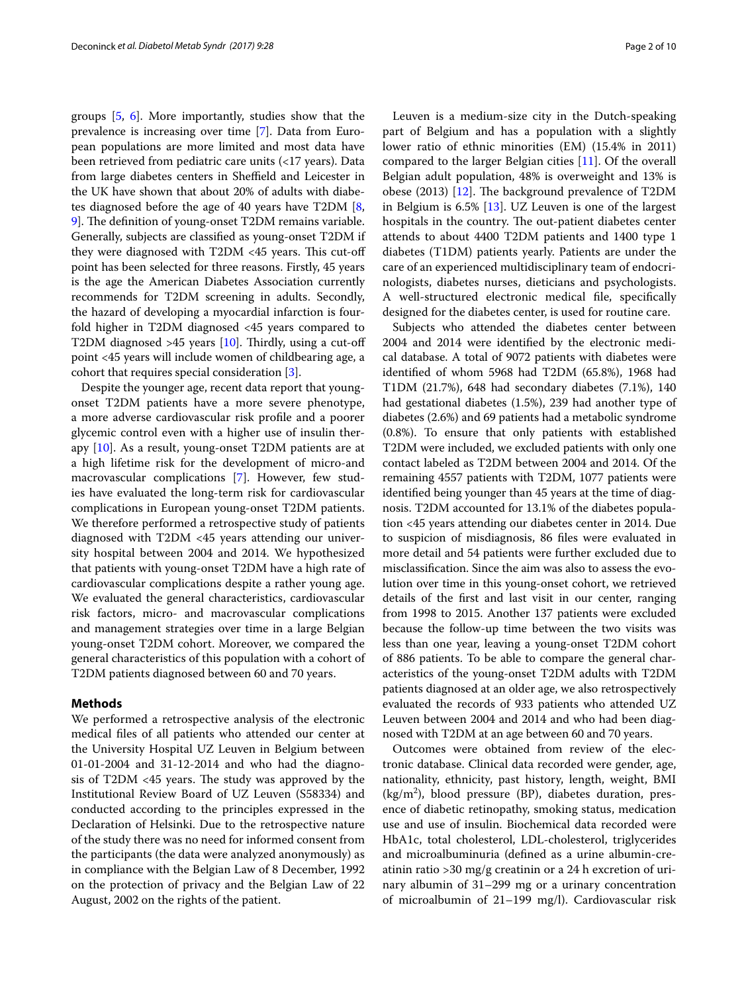groups [\[5,](#page-9-4) [6](#page-9-5)]. More importantly, studies show that the prevalence is increasing over time [[7\]](#page-9-6). Data from European populations are more limited and most data have been retrieved from pediatric care units (<17 years). Data from large diabetes centers in Sheffield and Leicester in the UK have shown that about 20% of adults with diabetes diagnosed before the age of 40 years have T2DM [\[8](#page-9-7), [9\]](#page-9-8). The definition of young-onset T2DM remains variable. Generally, subjects are classifed as young-onset T2DM if they were diagnosed with  $T2DM < 45$  years. This cut-off point has been selected for three reasons. Firstly, 45 years is the age the American Diabetes Association currently recommends for T2DM screening in adults. Secondly, the hazard of developing a myocardial infarction is fourfold higher in T2DM diagnosed <45 years compared to T2DM diagnosed >45 years  $[10]$ . Thirdly, using a cut-off point <45 years will include women of childbearing age, a cohort that requires special consideration [[3\]](#page-9-2).

Despite the younger age, recent data report that youngonset T2DM patients have a more severe phenotype, a more adverse cardiovascular risk profle and a poorer glycemic control even with a higher use of insulin therapy [\[10](#page-9-9)]. As a result, young-onset T2DM patients are at a high lifetime risk for the development of micro-and macrovascular complications [[7](#page-9-6)]. However, few studies have evaluated the long-term risk for cardiovascular complications in European young-onset T2DM patients. We therefore performed a retrospective study of patients diagnosed with T2DM <45 years attending our university hospital between 2004 and 2014. We hypothesized that patients with young-onset T2DM have a high rate of cardiovascular complications despite a rather young age. We evaluated the general characteristics, cardiovascular risk factors, micro- and macrovascular complications and management strategies over time in a large Belgian young-onset T2DM cohort. Moreover, we compared the general characteristics of this population with a cohort of T2DM patients diagnosed between 60 and 70 years.

## **Methods**

We performed a retrospective analysis of the electronic medical fles of all patients who attended our center at the University Hospital UZ Leuven in Belgium between 01-01-2004 and 31-12-2014 and who had the diagnosis of  $T2DM < 45$  years. The study was approved by the Institutional Review Board of UZ Leuven (S58334) and conducted according to the principles expressed in the Declaration of Helsinki. Due to the retrospective nature of the study there was no need for informed consent from the participants (the data were analyzed anonymously) as in compliance with the Belgian Law of 8 December, 1992 on the protection of privacy and the Belgian Law of 22 August, 2002 on the rights of the patient.

Leuven is a medium-size city in the Dutch-speaking part of Belgium and has a population with a slightly lower ratio of ethnic minorities (EM) (15.4% in 2011) compared to the larger Belgian cities [\[11](#page-9-10)]. Of the overall Belgian adult population, 48% is overweight and 13% is obese (2013)  $[12]$  $[12]$  $[12]$ . The background prevalence of T2DM in Belgium is 6.5% [\[13\]](#page-9-12). UZ Leuven is one of the largest hospitals in the country. The out-patient diabetes center attends to about 4400 T2DM patients and 1400 type 1 diabetes (T1DM) patients yearly. Patients are under the care of an experienced multidisciplinary team of endocrinologists, diabetes nurses, dieticians and psychologists. A well-structured electronic medical fle, specifcally designed for the diabetes center, is used for routine care.

Subjects who attended the diabetes center between 2004 and 2014 were identifed by the electronic medical database. A total of 9072 patients with diabetes were identifed of whom 5968 had T2DM (65.8%), 1968 had T1DM (21.7%), 648 had secondary diabetes (7.1%), 140 had gestational diabetes (1.5%), 239 had another type of diabetes (2.6%) and 69 patients had a metabolic syndrome (0.8%). To ensure that only patients with established T2DM were included, we excluded patients with only one contact labeled as T2DM between 2004 and 2014. Of the remaining 4557 patients with T2DM, 1077 patients were identifed being younger than 45 years at the time of diagnosis. T2DM accounted for 13.1% of the diabetes population <45 years attending our diabetes center in 2014. Due to suspicion of misdiagnosis, 86 fles were evaluated in more detail and 54 patients were further excluded due to misclassifcation. Since the aim was also to assess the evolution over time in this young-onset cohort, we retrieved details of the frst and last visit in our center, ranging from 1998 to 2015. Another 137 patients were excluded because the follow-up time between the two visits was less than one year, leaving a young-onset T2DM cohort of 886 patients. To be able to compare the general characteristics of the young-onset T2DM adults with T2DM patients diagnosed at an older age, we also retrospectively evaluated the records of 933 patients who attended UZ Leuven between 2004 and 2014 and who had been diagnosed with T2DM at an age between 60 and 70 years.

Outcomes were obtained from review of the electronic database. Clinical data recorded were gender, age, nationality, ethnicity, past history, length, weight, BMI  $(kg/m<sup>2</sup>)$ , blood pressure (BP), diabetes duration, presence of diabetic retinopathy, smoking status, medication use and use of insulin. Biochemical data recorded were HbA1c, total cholesterol, LDL-cholesterol, triglycerides and microalbuminuria (defned as a urine albumin-creatinin ratio >30 mg/g creatinin or a 24 h excretion of urinary albumin of 31–299 mg or a urinary concentration of microalbumin of 21–199 mg/l). Cardiovascular risk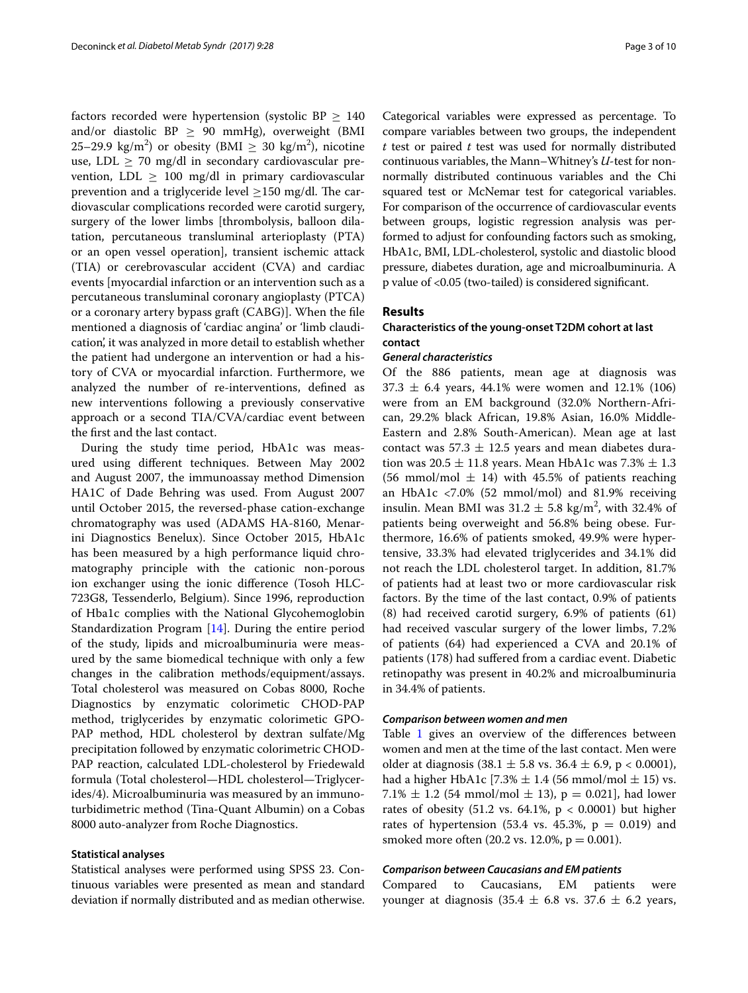factors recorded were hypertension (systolic BP  $\geq$  140 and/or diastolic BP  $\geq$  90 mmHg), overweight (BMI 25–29.9 kg/m<sup>2</sup>) or obesity (BMI  $\geq 30$  kg/m<sup>2</sup>), nicotine use, LDL  $\geq$  70 mg/dl in secondary cardiovascular prevention, LDL  $\geq$  100 mg/dl in primary cardiovascular prevention and a triglyceride level  $\geq$ 150 mg/dl. The cardiovascular complications recorded were carotid surgery, surgery of the lower limbs [thrombolysis, balloon dilatation, percutaneous transluminal arterioplasty (PTA) or an open vessel operation], transient ischemic attack (TIA) or cerebrovascular accident (CVA) and cardiac events [myocardial infarction or an intervention such as a percutaneous transluminal coronary angioplasty (PTCA) or a coronary artery bypass graft (CABG)]. When the fle mentioned a diagnosis of 'cardiac angina' or 'limb claudication', it was analyzed in more detail to establish whether the patient had undergone an intervention or had a history of CVA or myocardial infarction. Furthermore, we analyzed the number of re-interventions, defned as new interventions following a previously conservative approach or a second TIA/CVA/cardiac event between the frst and the last contact.

During the study time period, HbA1c was measured using diferent techniques. Between May 2002 and August 2007, the immunoassay method Dimension HA1C of Dade Behring was used. From August 2007 until October 2015, the reversed-phase cation-exchange chromatography was used (ADAMS HA-8160, Menarini Diagnostics Benelux). Since October 2015, HbA1c has been measured by a high performance liquid chromatography principle with the cationic non-porous ion exchanger using the ionic diference (Tosoh HLC-723G8, Tessenderlo, Belgium). Since 1996, reproduction of Hba1c complies with the National Glycohemoglobin Standardization Program [[14\]](#page-9-13). During the entire period of the study, lipids and microalbuminuria were measured by the same biomedical technique with only a few changes in the calibration methods/equipment/assays. Total cholesterol was measured on Cobas 8000, Roche Diagnostics by enzymatic colorimetic CHOD-PAP method, triglycerides by enzymatic colorimetic GPO-PAP method, HDL cholesterol by dextran sulfate/Mg precipitation followed by enzymatic colorimetric CHOD-PAP reaction, calculated LDL-cholesterol by Friedewald formula (Total cholesterol—HDL cholesterol—Triglycerides/4). Microalbuminuria was measured by an immunoturbidimetric method (Tina-Quant Albumin) on a Cobas 8000 auto-analyzer from Roche Diagnostics.

# **Statistical analyses**

Statistical analyses were performed using SPSS 23. Continuous variables were presented as mean and standard deviation if normally distributed and as median otherwise.

Categorical variables were expressed as percentage. To compare variables between two groups, the independent *t* test or paired *t* test was used for normally distributed continuous variables, the Mann–Whitney's *U*-test for nonnormally distributed continuous variables and the Chi squared test or McNemar test for categorical variables. For comparison of the occurrence of cardiovascular events between groups, logistic regression analysis was performed to adjust for confounding factors such as smoking, HbA1c, BMI, LDL-cholesterol, systolic and diastolic blood pressure, diabetes duration, age and microalbuminuria. A p value of <0.05 (two-tailed) is considered signifcant.

## **Results**

# **Characteristics of the young‑onset T2DM cohort at last contact**

## *General characteristics*

Of the 886 patients, mean age at diagnosis was  $37.3 \pm 6.4$  years, 44.1% were women and 12.1% (106) were from an EM background (32.0% Northern-African, 29.2% black African, 19.8% Asian, 16.0% Middle-Eastern and 2.8% South-American). Mean age at last contact was  $57.3 \pm 12.5$  years and mean diabetes duration was  $20.5 \pm 11.8$  years. Mean HbA1c was  $7.3\% \pm 1.3$ (56 mmol/mol  $\pm$  14) with 45.5% of patients reaching an HbA1c <7.0% (52 mmol/mol) and 81.9% receiving insulin. Mean BMI was  $31.2 \pm 5.8$  kg/m<sup>2</sup>, with 32.4% of patients being overweight and 56.8% being obese. Furthermore, 16.6% of patients smoked, 49.9% were hypertensive, 33.3% had elevated triglycerides and 34.1% did not reach the LDL cholesterol target. In addition, 81.7% of patients had at least two or more cardiovascular risk factors. By the time of the last contact, 0.9% of patients (8) had received carotid surgery, 6.9% of patients (61) had received vascular surgery of the lower limbs, 7.2% of patients (64) had experienced a CVA and 20.1% of patients (178) had sufered from a cardiac event. Diabetic retinopathy was present in 40.2% and microalbuminuria in 34.4% of patients.

## *Comparison between women and men*

Table [1](#page-3-0) gives an overview of the differences between women and men at the time of the last contact. Men were older at diagnosis  $(38.1 \pm 5.8 \text{ vs. } 36.4 \pm 6.9, \text{ p} < 0.0001)$ , had a higher HbA1c [7.3%  $\pm$  1.4 (56 mmol/mol  $\pm$  15) vs. 7.1%  $\pm$  1.2 (54 mmol/mol  $\pm$  13), p = 0.021], had lower rates of obesity  $(51.2 \text{ vs. } 64.1\% , p < 0.0001)$  but higher rates of hypertension (53.4 vs. 45.3%,  $p = 0.019$ ) and smoked more often  $(20.2 \text{ vs. } 12.0\% , p = 0.001).$ 

## *Comparison between Caucasians and EM patients*

Compared to Caucasians, EM patients were younger at diagnosis  $(35.4 \pm 6.8 \text{ vs. } 37.6 \pm 6.2 \text{ years},$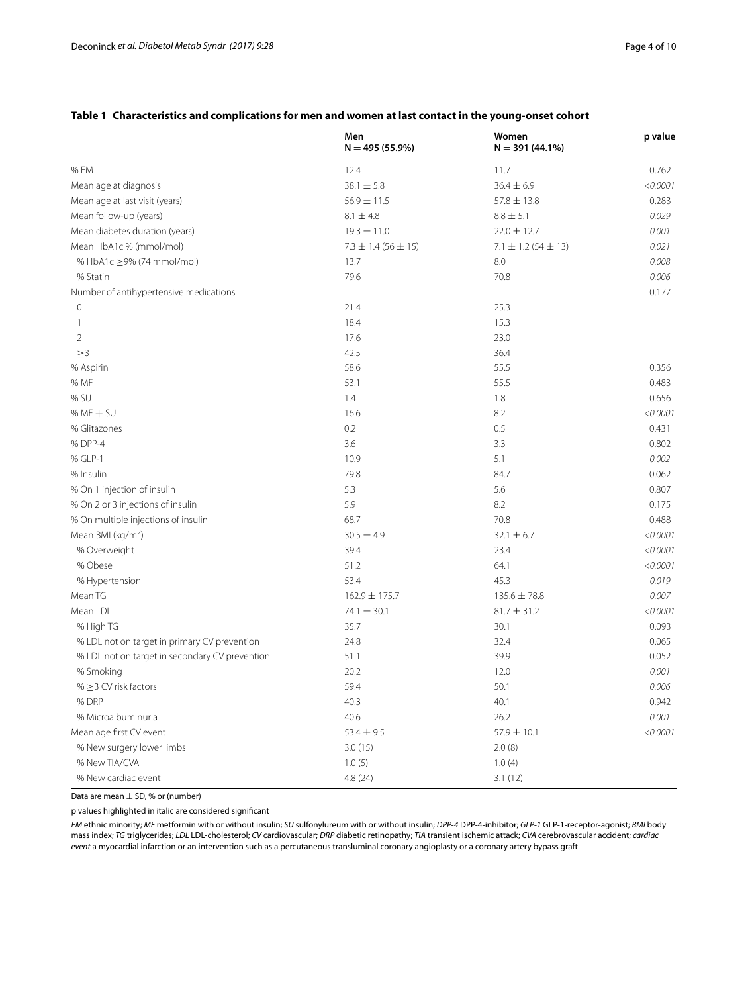# <span id="page-3-0"></span>**Table 1 Characteristics and complications for men and women at last contact in the young-onset cohort**

|                                                | Men<br>$N = 495(55.9\%)$    | Women<br>$N = 391(44.1\%)$  | p value  |
|------------------------------------------------|-----------------------------|-----------------------------|----------|
| % EM                                           | 12.4                        | 11.7                        | 0.762    |
| Mean age at diagnosis                          | $38.1 \pm 5.8$              | $36.4 \pm 6.9$              | < 0.0001 |
| Mean age at last visit (years)                 | $56.9 \pm 11.5$             | $57.8 \pm 13.8$             | 0.283    |
| Mean follow-up (years)                         | $8.1 \pm 4.8$               | $8.8 \pm 5.1$               | 0.029    |
| Mean diabetes duration (years)                 | $19.3 \pm 11.0$             | $22.0 \pm 12.7$             | 0.001    |
| Mean HbA1c % (mmol/mol)                        | $7.3 \pm 1.4$ (56 $\pm$ 15) | $7.1 \pm 1.2$ (54 $\pm$ 13) | 0.021    |
| % HbA1c ≥9% (74 mmol/mol)                      | 13.7                        | 8.0                         | 0.008    |
| % Statin                                       | 79.6                        | 70.8                        | 0.006    |
| Number of antihypertensive medications         |                             |                             | 0.177    |
| $\circ$                                        | 21.4                        | 25.3                        |          |
| 1                                              | 18.4                        | 15.3                        |          |
| 2                                              | 17.6                        | 23.0                        |          |
| $\geq 3$                                       | 42.5                        | 36.4                        |          |
| % Aspirin                                      | 58.6                        | 55.5                        | 0.356    |
| % MF                                           | 53.1                        | 55.5                        | 0.483    |
| % SU                                           | 1.4                         | 1.8                         | 0.656    |
| $% MF + SU$                                    | 16.6                        | 8.2                         | < 0.0001 |
| % Glitazones                                   | 0.2                         | 0.5                         | 0.431    |
| % DPP-4                                        | 3.6                         | 3.3                         | 0.802    |
| % GLP-1                                        | 10.9                        | 5.1                         | 0.002    |
| % Insulin                                      | 79.8                        | 84.7                        | 0.062    |
| % On 1 injection of insulin                    | 5.3                         | 5.6                         | 0.807    |
| % On 2 or 3 injections of insulin              | 5.9                         | 8.2                         | 0.175    |
| % On multiple injections of insulin            | 68.7                        | 70.8                        | 0.488    |
| Mean BMI (kg/m <sup>2</sup> )                  | $30.5 \pm 4.9$              | $32.1 \pm 6.7$              | < 0.0001 |
| % Overweight                                   | 39.4                        | 23.4                        | < 0.0001 |
| % Obese                                        | 51.2                        | 64.1                        | < 0.0001 |
| % Hypertension                                 | 53.4                        | 45.3                        | 0.019    |
| Mean TG                                        | 162.9 ± 175.7               | $135.6 \pm 78.8$            | 0.007    |
| Mean LDL                                       | $74.1 \pm 30.1$             | $81.7 \pm 31.2$             | < 0.0001 |
| % High TG                                      | 35.7                        | 30.1                        | 0.093    |
| % LDL not on target in primary CV prevention   | 24.8                        | 32.4                        | 0.065    |
| % LDL not on target in secondary CV prevention | 51.1                        | 39.9                        | 0.052    |
| % Smoking                                      | 20.2                        | 12.0                        | 0.001    |
| % $\geq$ 3 CV risk factors                     | 59.4                        | 50.1                        | 0.006    |
| % DRP                                          | 40.3                        | 40.1                        | 0.942    |
| % Microalbuminuria                             | 40.6                        | 26.2                        | 0.001    |
| Mean age first CV event                        | $53.4 \pm 9.5$              | $57.9\pm10.1$               | < 0.0001 |
| % New surgery lower limbs                      | 3.0(15)                     | 2.0(8)                      |          |
| % New TIA/CVA                                  | 1.0(5)                      | 1.0(4)                      |          |
| % New cardiac event                            | 4.8(24)                     | 3.1(12)                     |          |

Data are mean  $\pm$  SD, % or (number)

p values highlighted in italic are considered signifcant

*EM* ethnic minority; *MF* metformin with or without insulin; *SU* sulfonylureum with or without insulin; *DPP-4* DPP-4-inhibitor; *GLP-1* GLP-1-receptor-agonist; *BMI* body mass index; *TG* triglycerides; *LDL* LDL-cholesterol; *CV* cardiovascular; *DRP* diabetic retinopathy; *TIA* transient ischemic attack; *CVA* cerebrovascular accident; *cardiac event* a myocardial infarction or an intervention such as a percutaneous transluminal coronary angioplasty or a coronary artery bypass graft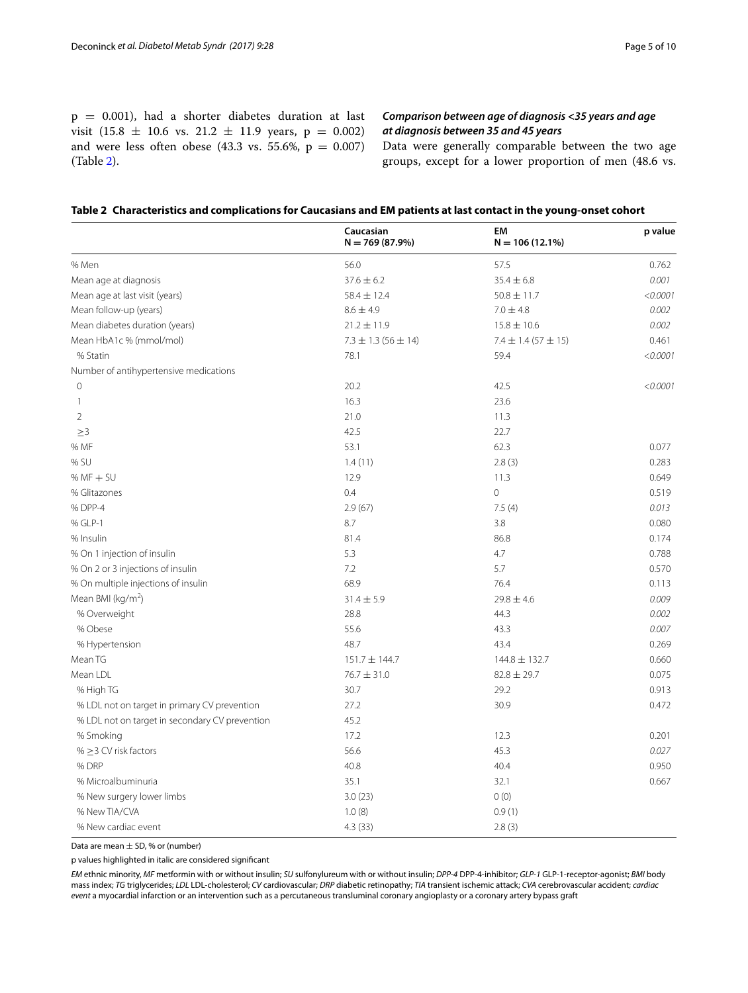$p = 0.001$ ), had a shorter diabetes duration at last visit (15.8  $\pm$  10.6 vs. 21.2  $\pm$  11.9 years, p = 0.002) and were less often obese (43.3 vs. 55.6%,  $p = 0.007$ ) (Table [2](#page-4-0)).

# *Comparison between age of diagnosis <35 years and age at diagnosis between 35 and 45 years*

Data were generally comparable between the two age groups, except for a lower proportion of men (48.6 vs.

<span id="page-4-0"></span>

|  |  |  |  |  | Table 2 Characteristics and complications for Caucasians and EM patients at last contact in the young-onset cohort |
|--|--|--|--|--|--------------------------------------------------------------------------------------------------------------------|
|--|--|--|--|--|--------------------------------------------------------------------------------------------------------------------|

|                                                | Caucasian<br>$N = 769(87.9%)$ | EM<br>$N = 106(12.1\%)$   | p value  |
|------------------------------------------------|-------------------------------|---------------------------|----------|
| % Men                                          | 56.0                          | 57.5                      | 0.762    |
| Mean age at diagnosis                          | $37.6 \pm 6.2$                | $35.4 \pm 6.8$            | 0.001    |
| Mean age at last visit (years)                 | $58.4 \pm 12.4$               | $50.8 \pm 11.7$           | < 0.0001 |
| Mean follow-up (years)                         | $8.6 \pm 4.9$                 | $7.0 \pm 4.8$             | 0.002    |
| Mean diabetes duration (years)                 | $21.2 \pm 11.9$               | $15.8 \pm 10.6$           | 0.002    |
| Mean HbA1c % (mmol/mol)                        | $7.3 \pm 1.3$ (56 $\pm$ 14)   | $7.4 \pm 1.4 (57 \pm 15)$ | 0.461    |
| % Statin                                       | 78.1                          | 59.4                      | < 0.0001 |
| Number of antihypertensive medications         |                               |                           |          |
| $\mathbb O$                                    | 20.2                          | 42.5                      | < 0.0001 |
| 1                                              | 16.3                          | 23.6                      |          |
| $\overline{2}$                                 | 21.0                          | 11.3                      |          |
| >3                                             | 42.5                          | 22.7                      |          |
| % MF                                           | 53.1                          | 62.3                      | 0.077    |
| % SU                                           | 1.4(11)                       | 2.8(3)                    | 0.283    |
| $% MF + SU$                                    | 12.9                          | 11.3                      | 0.649    |
| % Glitazones                                   | 0.4                           | $\overline{0}$            | 0.519    |
| % DPP-4                                        | 2.9(67)                       | 7.5(4)                    | 0.013    |
| % GLP-1                                        | 8.7                           | 3.8                       | 0.080    |
| % Insulin                                      | 81.4                          | 86.8                      | 0.174    |
| % On 1 injection of insulin                    | 5.3                           | 4.7                       | 0.788    |
| % On 2 or 3 injections of insulin              | 7.2                           | 5.7                       | 0.570    |
| % On multiple injections of insulin            | 68.9                          | 76.4                      | 0.113    |
| Mean BMI ( $kg/m2$ )                           | $31.4 \pm 5.9$                | $29.8 \pm 4.6$            | 0.009    |
| % Overweight                                   | 28.8                          | 44.3                      | 0.002    |
| % Obese                                        | 55.6                          | 43.3                      | 0.007    |
| % Hypertension                                 | 48.7                          | 43.4                      | 0.269    |
| Mean TG                                        | 151.7 ± 144.7                 | 144.8 ± 132.7             | 0.660    |
| Mean LDL                                       | $76.7 \pm 31.0$               | $82.8 \pm 29.7$           | 0.075    |
| % High TG                                      | 30.7                          | 29.2                      | 0.913    |
| % LDL not on target in primary CV prevention   | 27.2                          | 30.9                      | 0.472    |
| % LDL not on target in secondary CV prevention | 45.2                          |                           |          |
| % Smoking                                      | 17.2                          | 12.3                      | 0.201    |
| % $\geq$ 3 CV risk factors                     | 56.6                          | 45.3                      | 0.027    |
| % DRP                                          | 40.8                          | 40.4                      | 0.950    |
| % Microalbuminuria                             | 35.1                          | 32.1                      | 0.667    |
| % New surgery lower limbs                      | 3.0(23)                       | 0(0)                      |          |
| % New TIA/CVA                                  | 1.0(8)                        | 0.9(1)                    |          |
| % New cardiac event                            | 4.3(33)                       | 2.8(3)                    |          |

Data are mean  $\pm$  SD, % or (number)

p values highlighted in italic are considered signifcant

*EM* ethnic minority, *MF* metformin with or without insulin; *SU* sulfonylureum with or without insulin; *DPP-4* DPP-4-inhibitor; *GLP-1* GLP-1-receptor-agonist; *BMI* body mass index; *TG* triglycerides; *LDL* LDL-cholesterol; *CV* cardiovascular; *DRP* diabetic retinopathy; *TIA* transient ischemic attack; *CVA* cerebrovascular accident; *cardiac event* a myocardial infarction or an intervention such as a percutaneous transluminal coronary angioplasty or a coronary artery bypass graft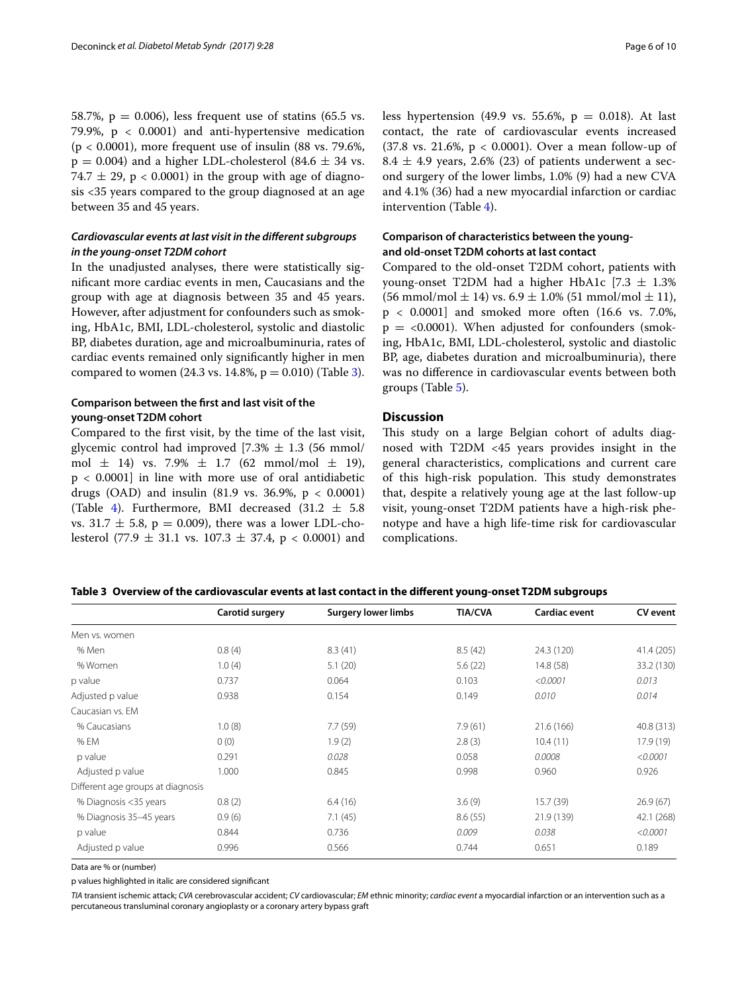58.7%,  $p = 0.006$ ), less frequent use of statins (65.5 vs. 79.9%,  $p < 0.0001$  and anti-hypertensive medication  $(p < 0.0001)$ , more frequent use of insulin (88 vs. 79.6%,  $p = 0.004$ ) and a higher LDL-cholesterol (84.6  $\pm$  34 vs. 74.7  $\pm$  29, p < 0.0001) in the group with age of diagnosis <35 years compared to the group diagnosed at an age between 35 and 45 years.

# *Cardiovascular events at last visit in the diferent subgroups in the young‑onset T2DM cohort*

In the unadjusted analyses, there were statistically signifcant more cardiac events in men, Caucasians and the group with age at diagnosis between 35 and 45 years. However, after adjustment for confounders such as smoking, HbA1c, BMI, LDL-cholesterol, systolic and diastolic BP, diabetes duration, age and microalbuminuria, rates of cardiac events remained only signifcantly higher in men compared to women (24.3 vs. 14.8%,  $p = 0.010$ ) (Table [3\)](#page-5-0).

# **Comparison between the frst and last visit of the young‑onset T2DM cohort**

Compared to the frst visit, by the time of the last visit, glycemic control had improved  $[7.3% \pm 1.3]$  (56 mmol/ mol  $\pm$  14) vs. 7.9%  $\pm$  1.7 (62 mmol/mol  $\pm$  19),  $p < 0.0001$ ] in line with more use of oral antidiabetic drugs (OAD) and insulin (81.9 vs. 36.9%,  $p < 0.0001$ ) (Table [4](#page-6-0)). Furthermore, BMI decreased  $(31.2 \pm 5.8)$ vs. 31.7  $\pm$  5.8, p = 0.009), there was a lower LDL-cholesterol (77.9  $\pm$  31.1 vs. 107.3  $\pm$  37.4, p < 0.0001) and less hypertension (49.9 vs. 55.6%,  $p = 0.018$ ). At last contact, the rate of cardiovascular events increased (37.8 vs. 21.6%,  $p < 0.0001$ ). Over a mean follow-up of  $8.4 \pm 4.9$  years, 2.6% (23) of patients underwent a second surgery of the lower limbs, 1.0% (9) had a new CVA and 4.1% (36) had a new myocardial infarction or cardiac intervention (Table [4](#page-6-0)).

# **Comparison of characteristics between the young‑ and old‑onset T2DM cohorts at last contact**

Compared to the old-onset T2DM cohort, patients with young-onset T2DM had a higher HbA1c  $[7.3 \pm 1.3\%]$  $(56 \text{ mmol/mol} \pm 14)$  vs.  $6.9 \pm 1.0\%$  (51 mmol/mol  $\pm 11$ ),  $p < 0.0001$ ] and smoked more often (16.6 vs. 7.0%,  $p = <0.0001$ ). When adjusted for confounders (smoking, HbA1c, BMI, LDL-cholesterol, systolic and diastolic BP, age, diabetes duration and microalbuminuria), there was no diference in cardiovascular events between both groups (Table [5\)](#page-7-0).

## **Discussion**

This study on a large Belgian cohort of adults diagnosed with T2DM <45 years provides insight in the general characteristics, complications and current care of this high-risk population. This study demonstrates that, despite a relatively young age at the last follow-up visit, young-onset T2DM patients have a high-risk phenotype and have a high life-time risk for cardiovascular complications.

## <span id="page-5-0"></span>**Table 3 Overview of the cardiovascular events at last contact in the diferent young-onset T2DM subgroups**

|                                   | Carotid surgery | <b>Surgery lower limbs</b> | <b>TIA/CVA</b> | <b>Cardiac event</b> | CV event   |
|-----------------------------------|-----------------|----------------------------|----------------|----------------------|------------|
| Men vs. women                     |                 |                            |                |                      |            |
| % Men                             | 0.8(4)          | 8.3(41)                    | 8.5(42)        | 24.3 (120)           | 41.4 (205) |
| % Women                           | 1.0(4)          | 5.1(20)                    | 5.6(22)        | 14.8(58)             | 33.2 (130) |
| p value                           | 0.737           | 0.064                      | 0.103          | < 0.0001             | 0.013      |
| Adjusted p value                  | 0.938           | 0.154                      | 0.149          | 0.010                | 0.014      |
| Caucasian vs. EM                  |                 |                            |                |                      |            |
| % Caucasians                      | 1.0(8)          | 7.7(59)                    | 7.9(61)        | 21.6 (166)           | 40.8 (313) |
| % EM                              | 0(0)            | 1.9(2)                     | 2.8(3)         | 10.4(11)             | 17.9 (19)  |
| p value                           | 0.291           | 0.028                      | 0.058          | 0.0008               | < 0.0001   |
| Adjusted p value                  | 1.000           | 0.845                      | 0.998          | 0.960                | 0.926      |
| Different age groups at diagnosis |                 |                            |                |                      |            |
| % Diagnosis <35 years             | 0.8(2)          | 6.4(16)                    | 3.6(9)         | 15.7(39)             | 26.9(67)   |
| % Diagnosis 35-45 years           | 0.9(6)          | 7.1(45)                    | 8.6(55)        | 21.9 (139)           | 42.1 (268) |
| p value                           | 0.844           | 0.736                      | 0.009          | 0.038                | < 0.0001   |
| Adjusted p value                  | 0.996           | 0.566                      | 0.744          | 0.651                | 0.189      |

Data are % or (number)

p values highlighted in italic are considered signifcant

*TIA* transient ischemic attack; *CVA* cerebrovascular accident; *CV* cardiovascular; *EM* ethnic minority; *cardiac event* a myocardial infarction or an intervention such as a percutaneous transluminal coronary angioplasty or a coronary artery bypass graft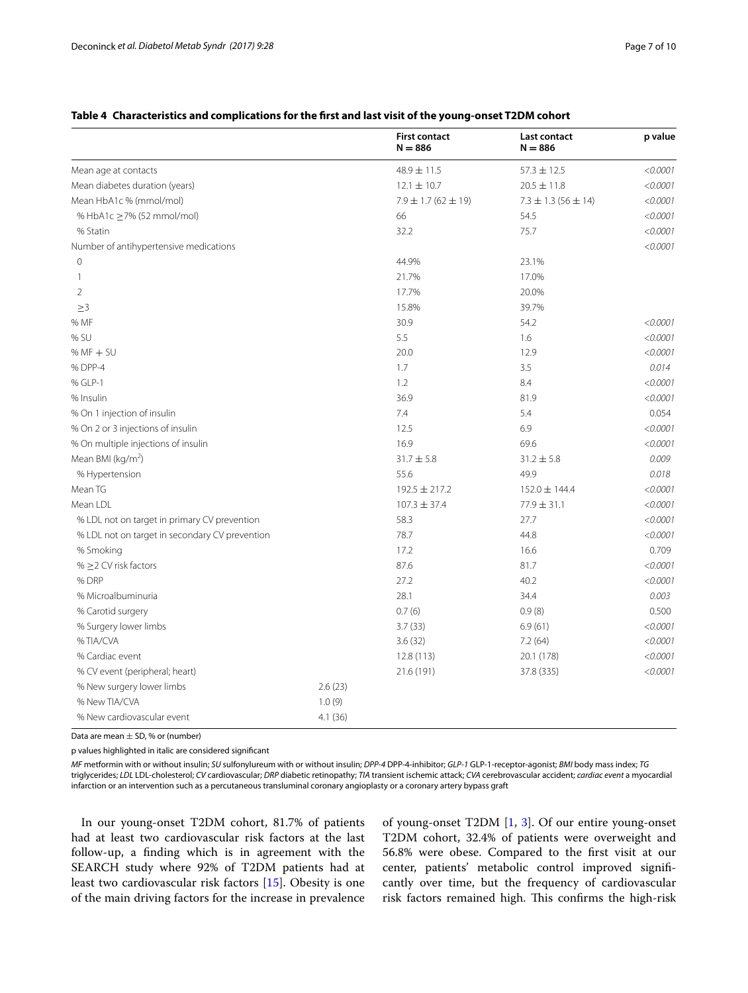<span id="page-6-0"></span>

|  |  | Table 4 Characteristics and complications for the first and last visit of the young-onset T2DM cohort |
|--|--|-------------------------------------------------------------------------------------------------------|
|  |  |                                                                                                       |

|                                                |         | <b>First contact</b><br>$N = 886$ | Last contact<br>$N = 886$   | p value  |
|------------------------------------------------|---------|-----------------------------------|-----------------------------|----------|
| Mean age at contacts                           |         | $48.9 \pm 11.5$                   | $57.3 \pm 12.5$             | < 0.0001 |
| Mean diabetes duration (years)                 |         | $12.1 \pm 10.7$                   | $20.5 \pm 11.8$             | < 0.0001 |
| Mean HbA1c % (mmol/mol)                        |         | $7.9 \pm 1.7$ (62 $\pm$ 19)       | $7.3 \pm 1.3$ (56 $\pm$ 14) | < 0.0001 |
| % HbA1c ≥7% (52 mmol/mol)                      |         | 66                                | 54.5                        | < 0.0001 |
| % Statin                                       |         | 32.2                              | 75.7                        | < 0.0001 |
| Number of antihypertensive medications         |         |                                   |                             | < 0.0001 |
| $\circ$                                        |         | 44.9%                             | 23.1%                       |          |
| 1                                              |         | 21.7%                             | 17.0%                       |          |
| $\overline{2}$                                 |         | 17.7%                             | 20.0%                       |          |
| $\geq$ 3                                       |         | 15.8%                             | 39.7%                       |          |
| % MF                                           |         | 30.9                              | 54.2                        | < 0.0001 |
| % SU                                           |         | 5.5                               | 1.6                         | < 0.0001 |
| $% MF + SU$                                    |         | 20.0                              | 12.9                        | < 0.0001 |
| % DPP-4                                        |         | 1.7                               | 3.5                         | 0.014    |
| % GLP-1                                        |         | 1.2                               | 8.4                         | < 0.0001 |
| % Insulin                                      |         | 36.9                              | 81.9                        | < 0.0001 |
| % On 1 injection of insulin                    |         | 7.4                               | 5.4                         | 0.054    |
| % On 2 or 3 injections of insulin              |         | 12.5                              | 6.9                         | < 0.0001 |
| % On multiple injections of insulin            |         | 16.9                              | 69.6                        | < 0.0001 |
| Mean BMI (kg/m <sup>2</sup> )                  |         | $31.7 \pm 5.8$                    | $31.2 \pm 5.8$              | 0.009    |
| % Hypertension                                 |         | 55.6                              | 49.9                        | 0.018    |
| Mean TG                                        |         | 192.5 ± 217.2                     | 152.0 ± 144.4               | < 0.0001 |
| Mean LDL                                       |         | $107.3 \pm 37.4$                  | 77.9 ± 31.1                 | < 0.0001 |
| % LDL not on target in primary CV prevention   |         | 58.3                              | 27.7                        | < 0.0001 |
| % LDL not on target in secondary CV prevention |         | 78.7                              | 44.8                        | < 0.0001 |
| % Smoking                                      |         | 17.2                              | 16.6                        | 0.709    |
| % $\geq$ 2 CV risk factors                     |         | 87.6                              | 81.7                        | < 0.0001 |
| % DRP                                          |         | 27.2                              | 40.2                        | < 0.0001 |
| % Microalbuminuria                             |         | 28.1                              | 34.4                        | 0.003    |
| % Carotid surgery                              |         | 0.7(6)                            | 0.9(8)                      | 0.500    |
| % Surgery lower limbs                          |         | 3.7(33)                           | 6.9(61)                     | < 0.0001 |
| %TIA/CVA                                       |         | 3.6(32)                           | 7.2(64)                     | < 0.0001 |
| % Cardiac event                                |         | 12.8 (113)                        | 20.1 (178)                  | < 0.0001 |
| % CV event (peripheral; heart)                 |         | 21.6 (191)                        | 37.8 (335)                  | < 0.0001 |
| % New surgery lower limbs                      | 2.6(23) |                                   |                             |          |
| % New TIA/CVA                                  | 1.0(9)  |                                   |                             |          |
| % New cardiovascular event                     | 4.1(36) |                                   |                             |          |

Data are mean  $\pm$  SD, % or (number)

p values highlighted in italic are considered signifcant

*MF* metformin with or without insulin; *SU* sulfonylureum with or without insulin; *DPP-4* DPP-4-inhibitor; *GLP-1* GLP-1-receptor-agonist; *BMI* body mass index; *TG* triglycerides; *LDL* LDL-cholesterol; *CV* cardiovascular; *DRP* diabetic retinopathy; *TIA* transient ischemic attack; *CVA* cerebrovascular accident; *cardiac event* a myocardial infarction or an intervention such as a percutaneous transluminal coronary angioplasty or a coronary artery bypass graft

In our young-onset T2DM cohort, 81.7% of patients had at least two cardiovascular risk factors at the last follow-up, a fnding which is in agreement with the SEARCH study where 92% of T2DM patients had at least two cardiovascular risk factors [\[15](#page-9-14)]. Obesity is one of the main driving factors for the increase in prevalence

of young-onset T2DM [[1,](#page-9-0) [3](#page-9-2)]. Of our entire young-onset T2DM cohort, 32.4% of patients were overweight and 56.8% were obese. Compared to the frst visit at our center, patients' metabolic control improved signifcantly over time, but the frequency of cardiovascular risk factors remained high. This confirms the high-risk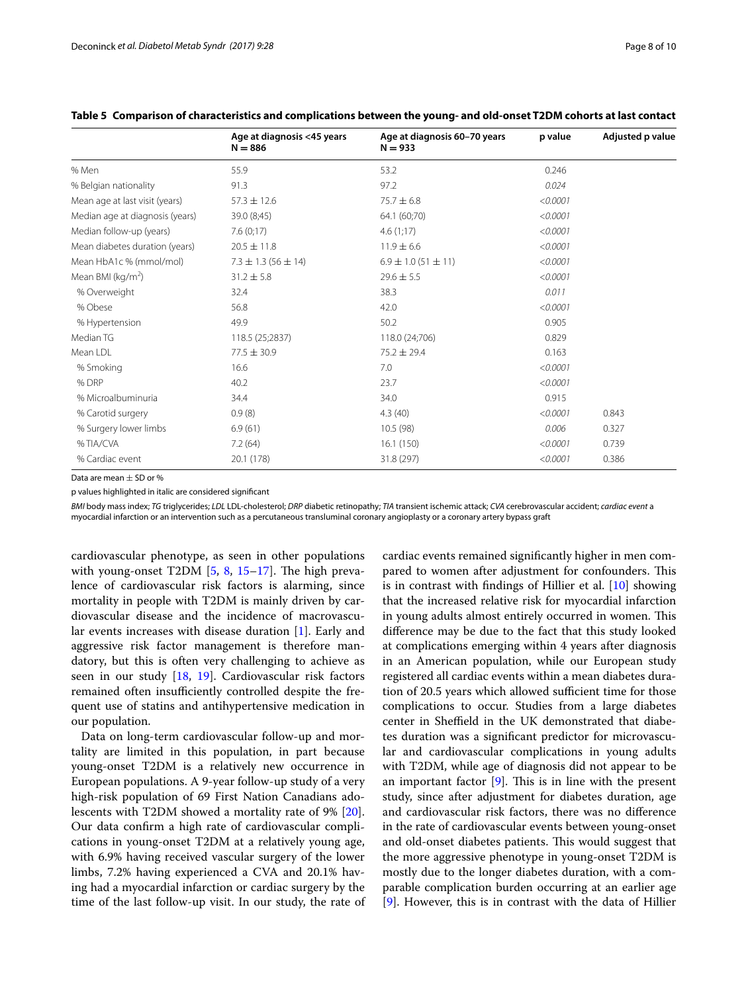|                                 | Age at diagnosis <45 years<br>$N = 886$ | Age at diagnosis 60-70 years<br>$N = 933$ | p value  | Adjusted p value |
|---------------------------------|-----------------------------------------|-------------------------------------------|----------|------------------|
| % Men                           | 55.9                                    | 53.2                                      | 0.246    |                  |
| % Belgian nationality           | 91.3                                    | 97.2                                      | 0.024    |                  |
| Mean age at last visit (years)  | $57.3 \pm 12.6$                         | $75.7 \pm 6.8$                            | < 0.0001 |                  |
| Median age at diagnosis (years) | 39.0 (8;45)                             | 64.1 (60;70)                              | < 0.0001 |                  |
| Median follow-up (years)        | 7.6(0;17)                               | 4.6(1;17)                                 | < 0.0001 |                  |
| Mean diabetes duration (years)  | $20.5 \pm 11.8$                         | $11.9 \pm 6.6$                            | < 0.0001 |                  |
| Mean HbA1c % (mmol/mol)         | $7.3 \pm 1.3$ (56 $\pm$ 14)             | $6.9 \pm 1.0$ (51 $\pm$ 11)               | < 0.0001 |                  |
| Mean BMI ( $kg/m2$ )            | $31.2 \pm 5.8$                          | $29.6 \pm 5.5$                            | < 0.0001 |                  |
| % Overweight                    | 32.4                                    | 38.3                                      | 0.011    |                  |
| % Obese                         | 56.8                                    | 42.0                                      | < 0.0001 |                  |
| % Hypertension                  | 49.9                                    | 50.2                                      | 0.905    |                  |
| Median TG                       | 118.5 (25;2837)                         | 118.0 (24;706)                            | 0.829    |                  |
| Mean LDL                        | $77.5 \pm 30.9$                         | $75.2 \pm 29.4$                           | 0.163    |                  |
| % Smoking                       | 16.6                                    | 7.0                                       | < 0.0001 |                  |
| % DRP                           | 40.2                                    | 23.7                                      | < 0.0001 |                  |
| % Microalbuminuria              | 34.4                                    | 34.0                                      | 0.915    |                  |
| % Carotid surgery               | 0.9(8)                                  | 4.3(40)                                   | < 0.0001 | 0.843            |
| % Surgery lower limbs           | 6.9(61)                                 | 10.5(98)                                  | 0.006    | 0.327            |
| %TIA/CVA                        | 7.2(64)                                 | 16.1(150)                                 | < 0.0001 | 0.739            |
| % Cardiac event                 | 20.1 (178)                              | 31.8 (297)                                | < 0.0001 | 0.386            |

## <span id="page-7-0"></span>**Table 5 Comparison of characteristics and complications between the young- and old-onset T2DM cohorts at last contact**

Data are mean  $\pm$  SD or %

p values highlighted in italic are considered signifcant

*BMI* body mass index; *TG* triglycerides; *LDL* LDL-cholesterol; *DRP* diabetic retinopathy; *TIA* transient ischemic attack; *CVA* cerebrovascular accident; *cardiac event* a myocardial infarction or an intervention such as a percutaneous transluminal coronary angioplasty or a coronary artery bypass graft

cardiovascular phenotype, as seen in other populations with young-onset T2DM  $[5, 8, 15-17]$  $[5, 8, 15-17]$  $[5, 8, 15-17]$  $[5, 8, 15-17]$  $[5, 8, 15-17]$  $[5, 8, 15-17]$ . The high prevalence of cardiovascular risk factors is alarming, since mortality in people with T2DM is mainly driven by cardiovascular disease and the incidence of macrovascular events increases with disease duration [\[1](#page-9-0)]. Early and aggressive risk factor management is therefore mandatory, but this is often very challenging to achieve as seen in our study [[18](#page-9-16), [19\]](#page-9-17). Cardiovascular risk factors remained often insufficiently controlled despite the frequent use of statins and antihypertensive medication in our population.

Data on long-term cardiovascular follow-up and mortality are limited in this population, in part because young-onset T2DM is a relatively new occurrence in European populations. A 9-year follow-up study of a very high-risk population of 69 First Nation Canadians adolescents with T2DM showed a mortality rate of 9% [\[20](#page-9-18)]. Our data confrm a high rate of cardiovascular complications in young-onset T2DM at a relatively young age, with 6.9% having received vascular surgery of the lower limbs, 7.2% having experienced a CVA and 20.1% having had a myocardial infarction or cardiac surgery by the time of the last follow-up visit. In our study, the rate of cardiac events remained signifcantly higher in men compared to women after adjustment for confounders. This is in contrast with fndings of Hillier et al. [\[10\]](#page-9-9) showing that the increased relative risk for myocardial infarction in young adults almost entirely occurred in women. This diference may be due to the fact that this study looked at complications emerging within 4 years after diagnosis in an American population, while our European study registered all cardiac events within a mean diabetes duration of 20.5 years which allowed sufficient time for those complications to occur. Studies from a large diabetes center in Sheffield in the UK demonstrated that diabetes duration was a signifcant predictor for microvascular and cardiovascular complications in young adults with T2DM, while age of diagnosis did not appear to be an important factor  $[9]$  $[9]$ . This is in line with the present study, since after adjustment for diabetes duration, age and cardiovascular risk factors, there was no diference in the rate of cardiovascular events between young-onset and old-onset diabetes patients. This would suggest that the more aggressive phenotype in young-onset T2DM is mostly due to the longer diabetes duration, with a comparable complication burden occurring at an earlier age [[9\]](#page-9-8). However, this is in contrast with the data of Hillier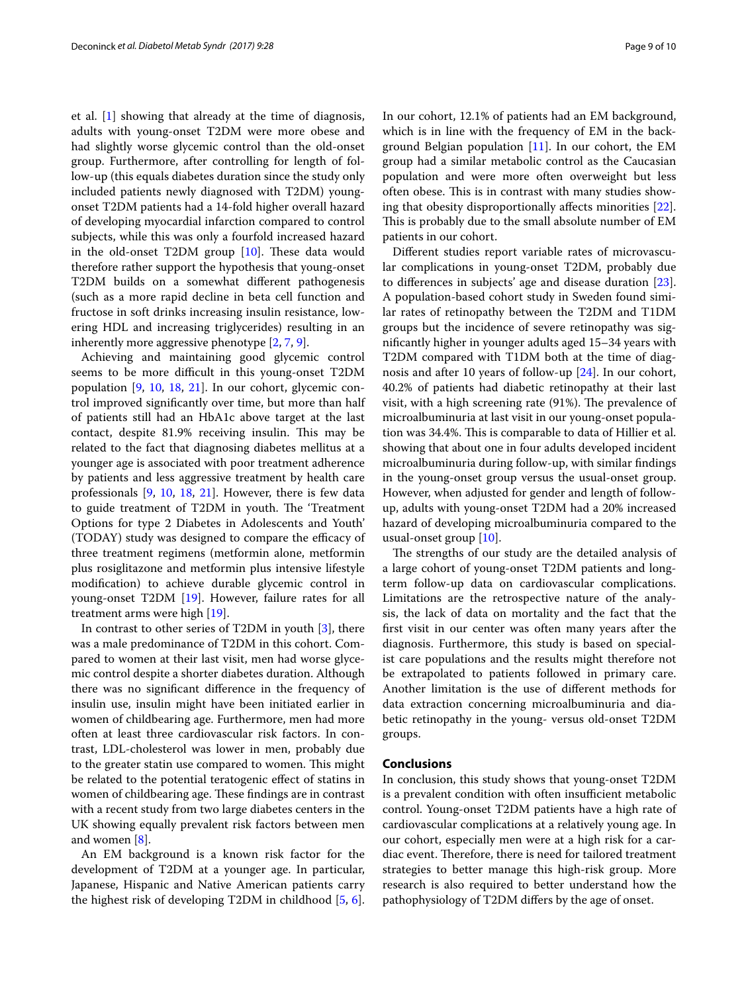et al. [\[1](#page-9-0)] showing that already at the time of diagnosis, adults with young-onset T2DM were more obese and had slightly worse glycemic control than the old-onset group. Furthermore, after controlling for length of follow-up (this equals diabetes duration since the study only included patients newly diagnosed with T2DM) youngonset T2DM patients had a 14-fold higher overall hazard of developing myocardial infarction compared to control subjects, while this was only a fourfold increased hazard in the old-onset T2DM group  $[10]$  $[10]$ . These data would therefore rather support the hypothesis that young-onset T2DM builds on a somewhat diferent pathogenesis (such as a more rapid decline in beta cell function and fructose in soft drinks increasing insulin resistance, lowering HDL and increasing triglycerides) resulting in an inherently more aggressive phenotype [\[2](#page-9-1), [7,](#page-9-6) [9](#page-9-8)].

Achieving and maintaining good glycemic control seems to be more difficult in this young-onset T2DM population [\[9](#page-9-8), [10,](#page-9-9) [18](#page-9-16), [21](#page-9-19)]. In our cohort, glycemic control improved signifcantly over time, but more than half of patients still had an HbA1c above target at the last contact, despite 81.9% receiving insulin. This may be related to the fact that diagnosing diabetes mellitus at a younger age is associated with poor treatment adherence by patients and less aggressive treatment by health care professionals [[9,](#page-9-8) [10](#page-9-9), [18](#page-9-16), [21\]](#page-9-19). However, there is few data to guide treatment of T2DM in youth. The 'Treatment Options for type 2 Diabetes in Adolescents and Youth' (TODAY) study was designed to compare the efficacy of three treatment regimens (metformin alone, metformin plus rosiglitazone and metformin plus intensive lifestyle modifcation) to achieve durable glycemic control in young-onset T2DM [[19](#page-9-17)]. However, failure rates for all treatment arms were high [[19](#page-9-17)].

In contrast to other series of T2DM in youth [\[3](#page-9-2)], there was a male predominance of T2DM in this cohort. Compared to women at their last visit, men had worse glycemic control despite a shorter diabetes duration. Although there was no signifcant diference in the frequency of insulin use, insulin might have been initiated earlier in women of childbearing age. Furthermore, men had more often at least three cardiovascular risk factors. In contrast, LDL-cholesterol was lower in men, probably due to the greater statin use compared to women. This might be related to the potential teratogenic efect of statins in women of childbearing age. These findings are in contrast with a recent study from two large diabetes centers in the UK showing equally prevalent risk factors between men and women [[8\]](#page-9-7).

An EM background is a known risk factor for the development of T2DM at a younger age. In particular, Japanese, Hispanic and Native American patients carry the highest risk of developing T2DM in childhood [\[5](#page-9-4), [6](#page-9-5)]. In our cohort, 12.1% of patients had an EM background, which is in line with the frequency of EM in the background Belgian population  $[11]$  $[11]$ . In our cohort, the EM group had a similar metabolic control as the Caucasian population and were more often overweight but less often obese. This is in contrast with many studies showing that obesity disproportionally afects minorities [\[22](#page-9-20)]. This is probably due to the small absolute number of EM patients in our cohort.

Diferent studies report variable rates of microvascular complications in young-onset T2DM, probably due to diferences in subjects' age and disease duration [\[23](#page-9-21)]. A population-based cohort study in Sweden found similar rates of retinopathy between the T2DM and T1DM groups but the incidence of severe retinopathy was signifcantly higher in younger adults aged 15–34 years with T2DM compared with T1DM both at the time of diagnosis and after 10 years of follow-up [[24\]](#page-9-22). In our cohort, 40.2% of patients had diabetic retinopathy at their last visit, with a high screening rate (91%). The prevalence of microalbuminuria at last visit in our young-onset population was 34.4%. This is comparable to data of Hillier et al. showing that about one in four adults developed incident microalbuminuria during follow-up, with similar fndings in the young-onset group versus the usual-onset group. However, when adjusted for gender and length of followup, adults with young-onset T2DM had a 20% increased hazard of developing microalbuminuria compared to the usual-onset group [\[10\]](#page-9-9).

The strengths of our study are the detailed analysis of a large cohort of young-onset T2DM patients and longterm follow-up data on cardiovascular complications. Limitations are the retrospective nature of the analysis, the lack of data on mortality and the fact that the frst visit in our center was often many years after the diagnosis. Furthermore, this study is based on specialist care populations and the results might therefore not be extrapolated to patients followed in primary care. Another limitation is the use of diferent methods for data extraction concerning microalbuminuria and diabetic retinopathy in the young- versus old-onset T2DM groups.

## **Conclusions**

In conclusion, this study shows that young-onset T2DM is a prevalent condition with often insufficient metabolic control. Young-onset T2DM patients have a high rate of cardiovascular complications at a relatively young age. In our cohort, especially men were at a high risk for a cardiac event. Therefore, there is need for tailored treatment strategies to better manage this high-risk group. More research is also required to better understand how the pathophysiology of T2DM difers by the age of onset.